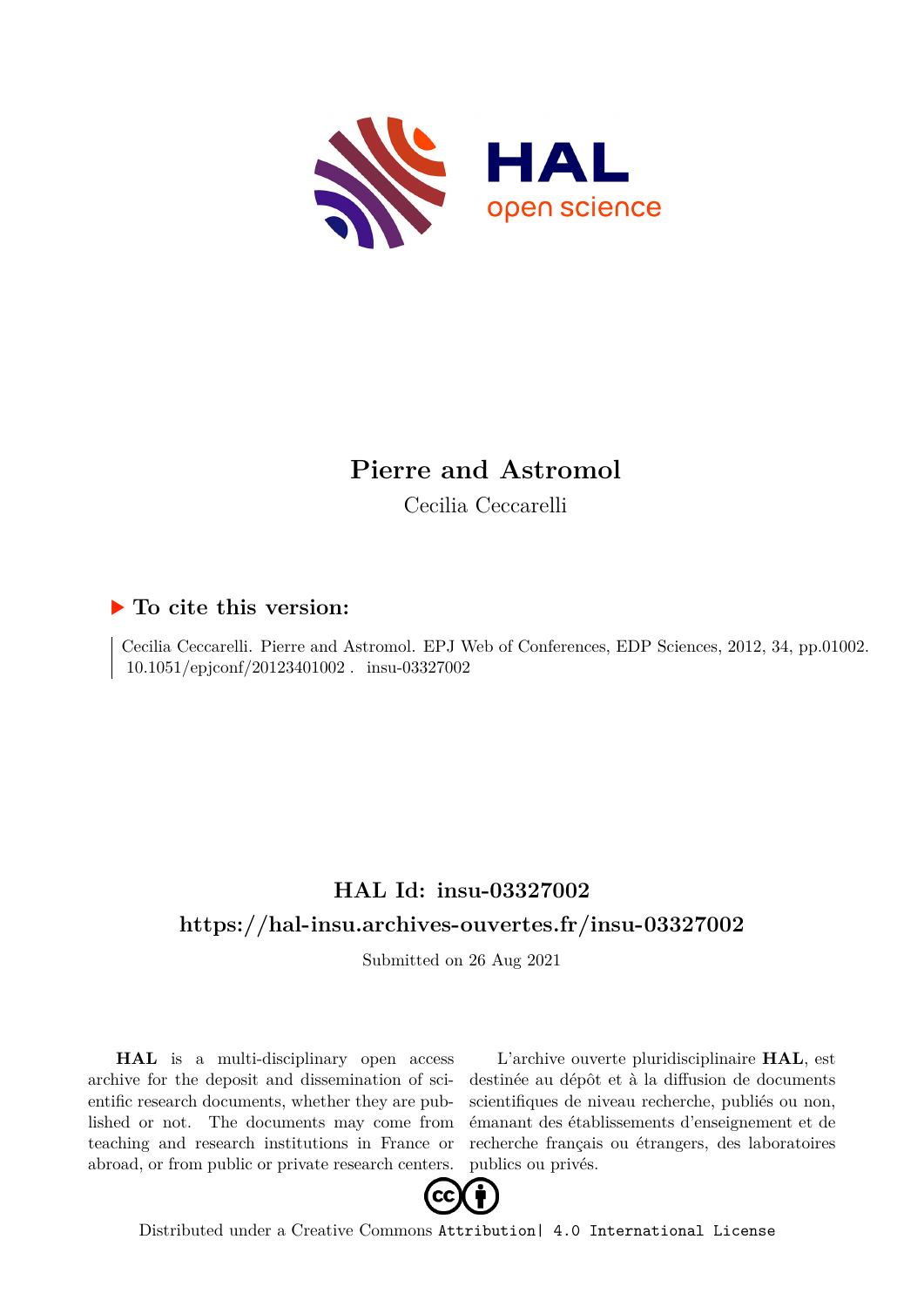

# **Pierre and Astromol**

Cecilia Ceccarelli

## **To cite this version:**

Cecilia Ceccarelli. Pierre and Astromol. EPJ Web of Conferences, EDP Sciences, 2012, 34, pp.01002.  $10.1051/epjconf/20123401002$ . insu-03327002

## **HAL Id: insu-03327002 <https://hal-insu.archives-ouvertes.fr/insu-03327002>**

Submitted on 26 Aug 2021

**HAL** is a multi-disciplinary open access archive for the deposit and dissemination of scientific research documents, whether they are published or not. The documents may come from teaching and research institutions in France or abroad, or from public or private research centers.

L'archive ouverte pluridisciplinaire **HAL**, est destinée au dépôt et à la diffusion de documents scientifiques de niveau recherche, publiés ou non, émanant des établissements d'enseignement et de recherche français ou étrangers, des laboratoires publics ou privés.



Distributed under a Creative Commons [Attribution| 4.0 International License](http://creativecommons.org/licenses/by/4.0/)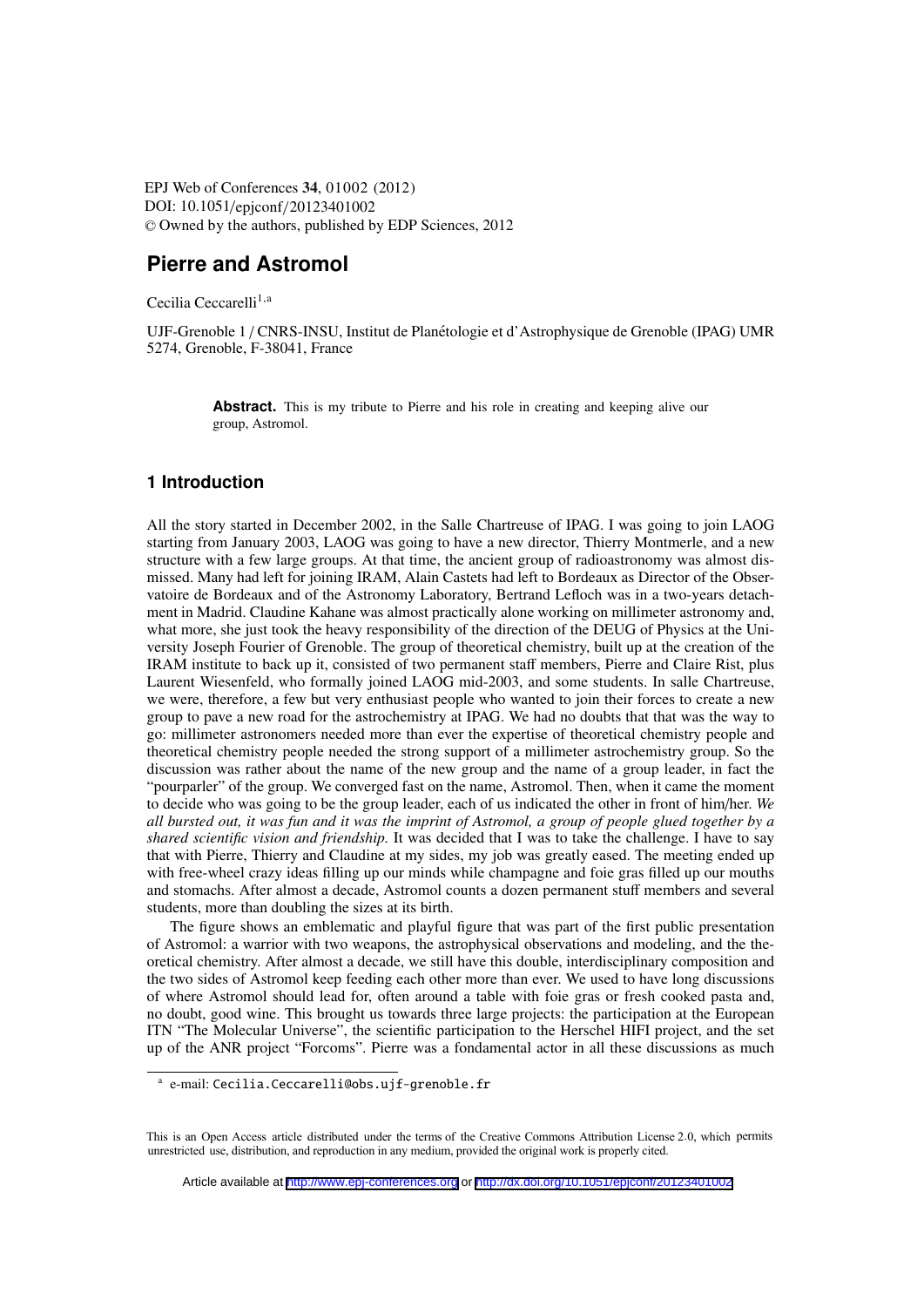EPJ Web of Conferences , **34** 01002 (2012) DOI: 10.1051/epjconf/20123401002 <sup>C</sup> Owned by the authors, published by EDP Sciences, 2012

### **Pierre and Astromol**

Cecilia Ceccarelli<sup>1,a</sup>

UJF-Grenoble 1 / CNRS-INSU, Institut de Planetologie et d'Astrophysique de Grenoble (IPAG) UMR ´ 5274, Grenoble, F-38041, France

> **Abstract.** This is my tribute to Pierre and his role in creating and keeping alive our group, Astromol.

#### **1 Introduction**

All the story started in December 2002, in the Salle Chartreuse of IPAG. I was going to join LAOG starting from January 2003, LAOG was going to have a new director, Thierry Montmerle, and a new structure with a few large groups. At that time, the ancient group of radioastronomy was almost dismissed. Many had left for joining IRAM, Alain Castets had left to Bordeaux as Director of the Observatoire de Bordeaux and of the Astronomy Laboratory, Bertrand Lefloch was in a two-years detachment in Madrid. Claudine Kahane was almost practically alone working on millimeter astronomy and, what more, she just took the heavy responsibility of the direction of the DEUG of Physics at the University Joseph Fourier of Grenoble. The group of theoretical chemistry, built up at the creation of the IRAM institute to back up it, consisted of two permanent staff members, Pierre and Claire Rist, plus Laurent Wiesenfeld, who formally joined LAOG mid-2003, and some students. In salle Chartreuse, we were, therefore, a few but very enthusiast people who wanted to join their forces to create a new group to pave a new road for the astrochemistry at IPAG. We had no doubts that that was the way to go: millimeter astronomers needed more than ever the expertise of theoretical chemistry people and theoretical chemistry people needed the strong support of a millimeter astrochemistry group. So the discussion was rather about the name of the new group and the name of a group leader, in fact the "pourparler" of the group. We converged fast on the name, Astromol. Then, when it came the moment to decide who was going to be the group leader, each of us indicated the other in front of him/her. *We all bursted out, it was fun and it was the imprint of Astromol, a group of people glued together by a shared scientific vision and friendship.* It was decided that I was to take the challenge. I have to say that with Pierre, Thierry and Claudine at my sides, my job was greatly eased. The meeting ended up with free-wheel crazy ideas filling up our minds while champagne and foie gras filled up our mouths and stomachs. After almost a decade, Astromol counts a dozen permanent stuff members and several students, more than doubling the sizes at its birth.

The figure shows an emblematic and playful figure that was part of the first public presentation of Astromol: a warrior with two weapons, the astrophysical observations and modeling, and the theoretical chemistry. After almost a decade, we still have this double, interdisciplinary composition and the two sides of Astromol keep feeding each other more than ever. We used to have long discussions of where Astromol should lead for, often around a table with foie gras or fresh cooked pasta and, no doubt, good wine. This brought us towards three large projects: the participation at the European ITN "The Molecular Universe", the scientific participation to the Herschel HIFI project, and the set up of the ANR project "Forcoms". Pierre was a fondamental actor in all these discussions as much

a e-mail: Cecilia.Ceccarelli@obs.ujf-grenoble.fr

This is an Open Access article distributed under the terms of the Creative Commons Attribution License 2.0, which permits unrestricted use, distribution, and reproduction in any medium, provided the original work is properly cited.